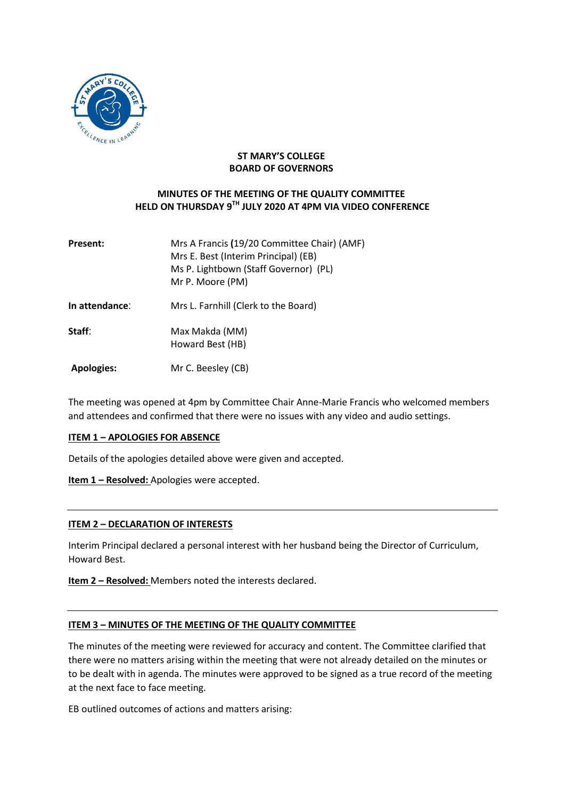

### **ST MARY'S COLLEGE BOARD OF GOVERNORS**

## **MINUTES OF THE MEETING OF THE QUALITY COMMITTEE HELD ON THURSDAY 9 TH JULY 2020 AT 4PM VIA VIDEO CONFERENCE**

| <b>Present:</b>   | Mrs A Francis (19/20 Committee Chair) (AMF)<br>Mrs E. Best (Interim Principal) (EB)<br>Ms P. Lightbown (Staff Governor) (PL)<br>Mr P. Moore (PM) |
|-------------------|--------------------------------------------------------------------------------------------------------------------------------------------------|
| In attendance:    | Mrs L. Farnhill (Clerk to the Board)                                                                                                             |
| Staff:            | Max Makda (MM)<br>Howard Best (HB)                                                                                                               |
| <b>Apologies:</b> | Mr C. Beesley (CB)                                                                                                                               |

The meeting was opened at 4pm by Committee Chair Anne-Marie Francis who welcomed members and attendees and confirmed that there were no issues with any video and audio settings.

#### **ITEM 1 – APOLOGIES FOR ABSENCE**

Details of the apologies detailed above were given and accepted.

**Item 1 – Resolved:** Apologies were accepted.

### **ITEM 2 – DECLARATION OF INTERESTS**

Interim Principal declared a personal interest with her husband being the Director of Curriculum, Howard Best.

**Item 2 – Resolved:** Members noted the interests declared.

### **ITEM 3 – MINUTES OF THE MEETING OF THE QUALITY COMMITTEE**

The minutes of the meeting were reviewed for accuracy and content. The Committee clarified that there were no matters arising within the meeting that were not already detailed on the minutes or to be dealt with in agenda. The minutes were approved to be signed as a true record of the meeting at the next face to face meeting.

EB outlined outcomes of actions and matters arising: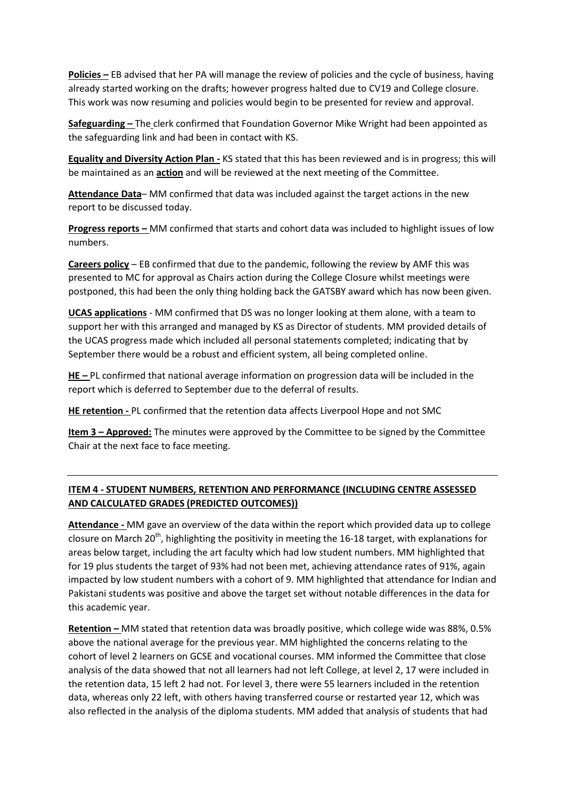**Policies –** EB advised that her PA will manage the review of policies and the cycle of business, having already started working on the drafts; however progress halted due to CV19 and College closure. This work was now resuming and policies would begin to be presented for review and approval.

**Safeguarding –** The clerk confirmed that Foundation Governor Mike Wright had been appointed as the safeguarding link and had been in contact with KS.

**Equality and Diversity Action Plan -** KS stated that this has been reviewed and is in progress; this will be maintained as an **action** and will be reviewed at the next meeting of the Committee.

**Attendance Data**– MM confirmed that data was included against the target actions in the new report to be discussed today.

**Progress reports –** MM confirmed that starts and cohort data was included to highlight issues of low numbers.

**Careers policy** – EB confirmed that due to the pandemic, following the review by AMF this was presented to MC for approval as Chairs action during the College Closure whilst meetings were postponed, this had been the only thing holding back the GATSBY award which has now been given.

**UCAS applications** - MM confirmed that DS was no longer looking at them alone, with a team to support her with this arranged and managed by KS as Director of students. MM provided details of the UCAS progress made which included all personal statements completed; indicating that by September there would be a robust and efficient system, all being completed online.

**HE –** PL confirmed that national average information on progression data will be included in the report which is deferred to September due to the deferral of results.

**HE retention -** PL confirmed that the retention data affects Liverpool Hope and not SMC

**Item 3 – Approved:** The minutes were approved by the Committee to be signed by the Committee Chair at the next face to face meeting.

# **ITEM 4 - STUDENT NUMBERS, RETENTION AND PERFORMANCE (INCLUDING CENTRE ASSESSED AND CALCULATED GRADES (PREDICTED OUTCOMES))**

**Attendance -** MM gave an overview of the data within the report which provided data up to college closure on March 20<sup>th</sup>, highlighting the positivity in meeting the 16-18 target, with explanations for areas below target, including the art faculty which had low student numbers. MM highlighted that for 19 plus students the target of 93% had not been met, achieving attendance rates of 91%, again impacted by low student numbers with a cohort of 9. MM highlighted that attendance for Indian and Pakistani students was positive and above the target set without notable differences in the data for this academic year.

**Retention –** MM stated that retention data was broadly positive, which college wide was 88%, 0.5% above the national average for the previous year. MM highlighted the concerns relating to the cohort of level 2 learners on GCSE and vocational courses. MM informed the Committee that close analysis of the data showed that not all learners had not left College, at level 2, 17 were included in the retention data, 15 left 2 had not. For level 3, there were 55 learners included in the retention data, whereas only 22 left, with others having transferred course or restarted year 12, which was also reflected in the analysis of the diploma students. MM added that analysis of students that had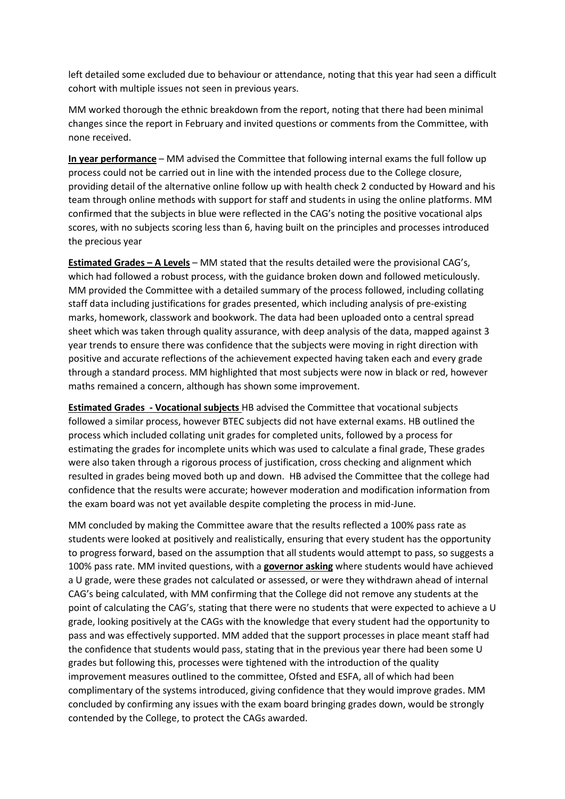left detailed some excluded due to behaviour or attendance, noting that this year had seen a difficult cohort with multiple issues not seen in previous years.

MM worked thorough the ethnic breakdown from the report, noting that there had been minimal changes since the report in February and invited questions or comments from the Committee, with none received.

**In year performance** – MM advised the Committee that following internal exams the full follow up process could not be carried out in line with the intended process due to the College closure, providing detail of the alternative online follow up with health check 2 conducted by Howard and his team through online methods with support for staff and students in using the online platforms. MM confirmed that the subjects in blue were reflected in the CAG's noting the positive vocational alps scores, with no subjects scoring less than 6, having built on the principles and processes introduced the precious year

**Estimated Grades – A Levels** – MM stated that the results detailed were the provisional CAG's, which had followed a robust process, with the guidance broken down and followed meticulously. MM provided the Committee with a detailed summary of the process followed, including collating staff data including justifications for grades presented, which including analysis of pre-existing marks, homework, classwork and bookwork. The data had been uploaded onto a central spread sheet which was taken through quality assurance, with deep analysis of the data, mapped against 3 year trends to ensure there was confidence that the subjects were moving in right direction with positive and accurate reflections of the achievement expected having taken each and every grade through a standard process. MM highlighted that most subjects were now in black or red, however maths remained a concern, although has shown some improvement.

**Estimated Grades - Vocational subjects** HB advised the Committee that vocational subjects followed a similar process, however BTEC subjects did not have external exams. HB outlined the process which included collating unit grades for completed units, followed by a process for estimating the grades for incomplete units which was used to calculate a final grade, These grades were also taken through a rigorous process of justification, cross checking and alignment which resulted in grades being moved both up and down. HB advised the Committee that the college had confidence that the results were accurate; however moderation and modification information from the exam board was not yet available despite completing the process in mid-June.

MM concluded by making the Committee aware that the results reflected a 100% pass rate as students were looked at positively and realistically, ensuring that every student has the opportunity to progress forward, based on the assumption that all students would attempt to pass, so suggests a 100% pass rate. MM invited questions, with a **governor asking** where students would have achieved a U grade, were these grades not calculated or assessed, or were they withdrawn ahead of internal CAG's being calculated, with MM confirming that the College did not remove any students at the point of calculating the CAG's, stating that there were no students that were expected to achieve a U grade, looking positively at the CAGs with the knowledge that every student had the opportunity to pass and was effectively supported. MM added that the support processes in place meant staff had the confidence that students would pass, stating that in the previous year there had been some U grades but following this, processes were tightened with the introduction of the quality improvement measures outlined to the committee, Ofsted and ESFA, all of which had been complimentary of the systems introduced, giving confidence that they would improve grades. MM concluded by confirming any issues with the exam board bringing grades down, would be strongly contended by the College, to protect the CAGs awarded.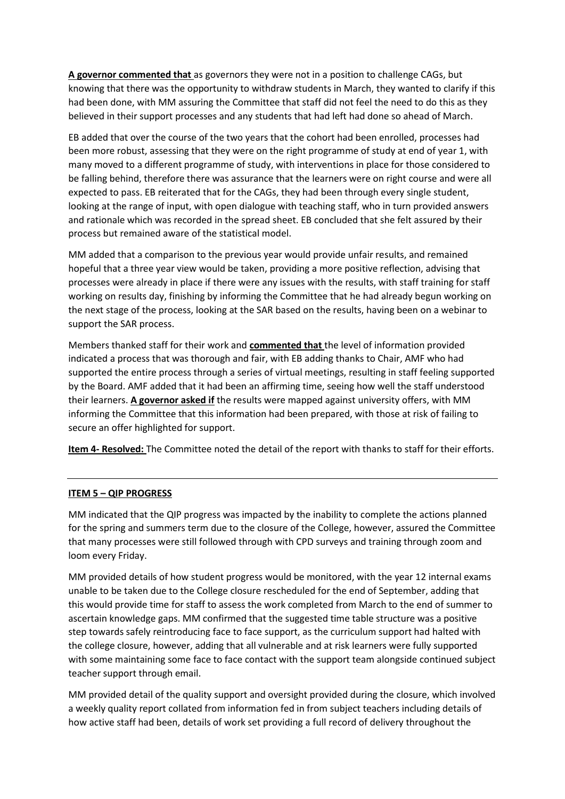**A governor commented that** as governors they were not in a position to challenge CAGs, but knowing that there was the opportunity to withdraw students in March, they wanted to clarify if this had been done, with MM assuring the Committee that staff did not feel the need to do this as they believed in their support processes and any students that had left had done so ahead of March.

EB added that over the course of the two years that the cohort had been enrolled, processes had been more robust, assessing that they were on the right programme of study at end of year 1, with many moved to a different programme of study, with interventions in place for those considered to be falling behind, therefore there was assurance that the learners were on right course and were all expected to pass. EB reiterated that for the CAGs, they had been through every single student, looking at the range of input, with open dialogue with teaching staff, who in turn provided answers and rationale which was recorded in the spread sheet. EB concluded that she felt assured by their process but remained aware of the statistical model.

MM added that a comparison to the previous year would provide unfair results, and remained hopeful that a three year view would be taken, providing a more positive reflection, advising that processes were already in place if there were any issues with the results, with staff training for staff working on results day, finishing by informing the Committee that he had already begun working on the next stage of the process, looking at the SAR based on the results, having been on a webinar to support the SAR process.

Members thanked staff for their work and **commented that** the level of information provided indicated a process that was thorough and fair, with EB adding thanks to Chair, AMF who had supported the entire process through a series of virtual meetings, resulting in staff feeling supported by the Board. AMF added that it had been an affirming time, seeing how well the staff understood their learners. **A governor asked if** the results were mapped against university offers, with MM informing the Committee that this information had been prepared, with those at risk of failing to secure an offer highlighted for support.

**Item 4- Resolved:** The Committee noted the detail of the report with thanks to staff for their efforts.

### **ITEM 5 – QIP PROGRESS**

MM indicated that the QIP progress was impacted by the inability to complete the actions planned for the spring and summers term due to the closure of the College, however, assured the Committee that many processes were still followed through with CPD surveys and training through zoom and loom every Friday.

MM provided details of how student progress would be monitored, with the year 12 internal exams unable to be taken due to the College closure rescheduled for the end of September, adding that this would provide time for staff to assess the work completed from March to the end of summer to ascertain knowledge gaps. MM confirmed that the suggested time table structure was a positive step towards safely reintroducing face to face support, as the curriculum support had halted with the college closure, however, adding that all vulnerable and at risk learners were fully supported with some maintaining some face to face contact with the support team alongside continued subject teacher support through email.

MM provided detail of the quality support and oversight provided during the closure, which involved a weekly quality report collated from information fed in from subject teachers including details of how active staff had been, details of work set providing a full record of delivery throughout the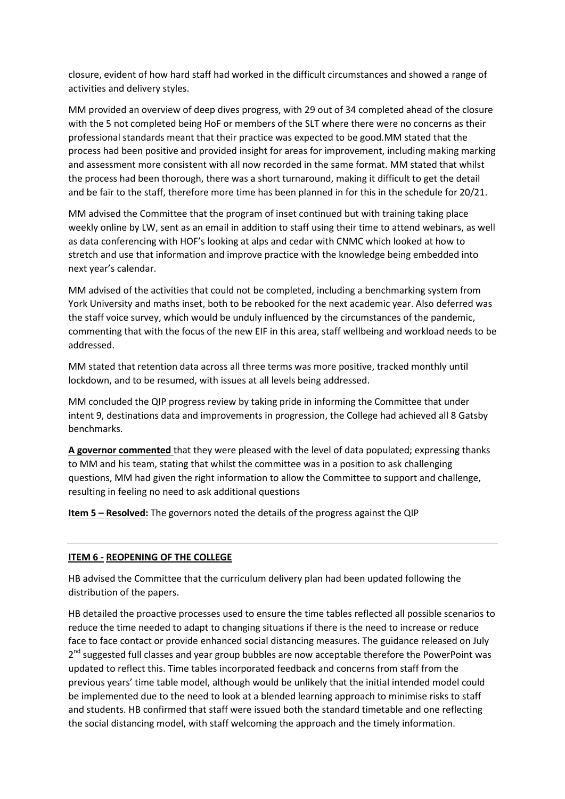closure, evident of how hard staff had worked in the difficult circumstances and showed a range of activities and delivery styles.

MM provided an overview of deep dives progress, with 29 out of 34 completed ahead of the closure with the 5 not completed being HoF or members of the SLT where there were no concerns as their professional standards meant that their practice was expected to be good.MM stated that the process had been positive and provided insight for areas for improvement, including making marking and assessment more consistent with all now recorded in the same format. MM stated that whilst the process had been thorough, there was a short turnaround, making it difficult to get the detail and be fair to the staff, therefore more time has been planned in for this in the schedule for 20/21.

MM advised the Committee that the program of inset continued but with training taking place weekly online by LW, sent as an email in addition to staff using their time to attend webinars, as well as data conferencing with HOF's looking at alps and cedar with CNMC which looked at how to stretch and use that information and improve practice with the knowledge being embedded into next year's calendar.

MM advised of the activities that could not be completed, including a benchmarking system from York University and maths inset, both to be rebooked for the next academic year. Also deferred was the staff voice survey, which would be unduly influenced by the circumstances of the pandemic, commenting that with the focus of the new EIF in this area, staff wellbeing and workload needs to be addressed.

MM stated that retention data across all three terms was more positive, tracked monthly until lockdown, and to be resumed, with issues at all levels being addressed.

MM concluded the QIP progress review by taking pride in informing the Committee that under intent 9, destinations data and improvements in progression, the College had achieved all 8 Gatsby benchmarks.

**A governor commented** that they were pleased with the level of data populated; expressing thanks to MM and his team, stating that whilst the committee was in a position to ask challenging questions, MM had given the right information to allow the Committee to support and challenge, resulting in feeling no need to ask additional questions

**Item 5 – Resolved:** The governors noted the details of the progress against the QIP

#### **ITEM 6 - REOPENING OF THE COLLEGE**

HB advised the Committee that the curriculum delivery plan had been updated following the distribution of the papers.

HB detailed the proactive processes used to ensure the time tables reflected all possible scenarios to reduce the time needed to adapt to changing situations if there is the need to increase or reduce face to face contact or provide enhanced social distancing measures. The guidance released on July 2<sup>nd</sup> suggested full classes and year group bubbles are now acceptable therefore the PowerPoint was updated to reflect this. Time tables incorporated feedback and concerns from staff from the previous years' time table model, although would be unlikely that the initial intended model could be implemented due to the need to look at a blended learning approach to minimise risks to staff and students. HB confirmed that staff were issued both the standard timetable and one reflecting the social distancing model, with staff welcoming the approach and the timely information.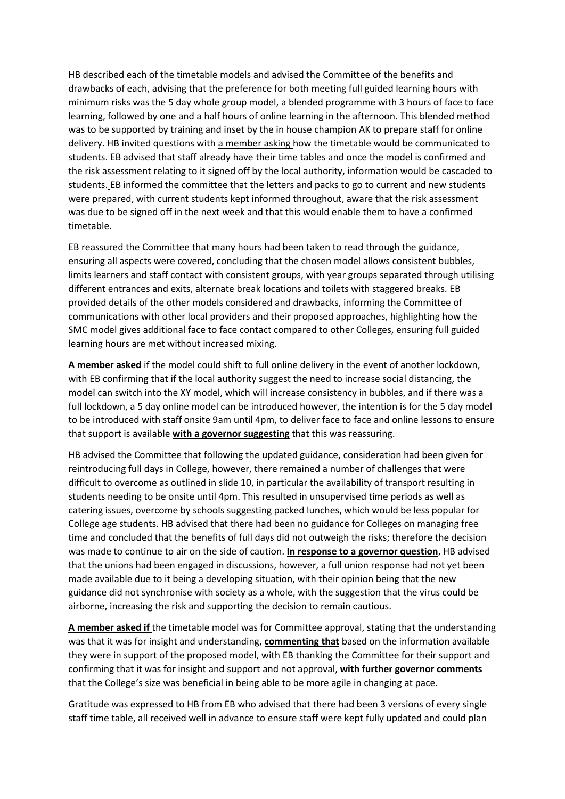HB described each of the timetable models and advised the Committee of the benefits and drawbacks of each, advising that the preference for both meeting full guided learning hours with minimum risks was the 5 day whole group model, a blended programme with 3 hours of face to face learning, followed by one and a half hours of online learning in the afternoon. This blended method was to be supported by training and inset by the in house champion AK to prepare staff for online delivery. HB invited questions with a member asking how the timetable would be communicated to students. EB advised that staff already have their time tables and once the model is confirmed and the risk assessment relating to it signed off by the local authority, information would be cascaded to students. EB informed the committee that the letters and packs to go to current and new students were prepared, with current students kept informed throughout, aware that the risk assessment was due to be signed off in the next week and that this would enable them to have a confirmed timetable.

EB reassured the Committee that many hours had been taken to read through the guidance, ensuring all aspects were covered, concluding that the chosen model allows consistent bubbles, limits learners and staff contact with consistent groups, with year groups separated through utilising different entrances and exits, alternate break locations and toilets with staggered breaks. EB provided details of the other models considered and drawbacks, informing the Committee of communications with other local providers and their proposed approaches, highlighting how the SMC model gives additional face to face contact compared to other Colleges, ensuring full guided learning hours are met without increased mixing.

**A member asked** if the model could shift to full online delivery in the event of another lockdown, with EB confirming that if the local authority suggest the need to increase social distancing, the model can switch into the XY model, which will increase consistency in bubbles, and if there was a full lockdown, a 5 day online model can be introduced however, the intention is for the 5 day model to be introduced with staff onsite 9am until 4pm, to deliver face to face and online lessons to ensure that support is available **with a governor suggesting** that this was reassuring.

HB advised the Committee that following the updated guidance, consideration had been given for reintroducing full days in College, however, there remained a number of challenges that were difficult to overcome as outlined in slide 10, in particular the availability of transport resulting in students needing to be onsite until 4pm. This resulted in unsupervised time periods as well as catering issues, overcome by schools suggesting packed lunches, which would be less popular for College age students. HB advised that there had been no guidance for Colleges on managing free time and concluded that the benefits of full days did not outweigh the risks; therefore the decision was made to continue to air on the side of caution. **In response to a governor question**, HB advised that the unions had been engaged in discussions, however, a full union response had not yet been made available due to it being a developing situation, with their opinion being that the new guidance did not synchronise with society as a whole, with the suggestion that the virus could be airborne, increasing the risk and supporting the decision to remain cautious.

**A member asked if** the timetable model was for Committee approval, stating that the understanding was that it was for insight and understanding, **commenting that** based on the information available they were in support of the proposed model, with EB thanking the Committee for their support and confirming that it was for insight and support and not approval, **with further governor comments**  that the College's size was beneficial in being able to be more agile in changing at pace.

Gratitude was expressed to HB from EB who advised that there had been 3 versions of every single staff time table, all received well in advance to ensure staff were kept fully updated and could plan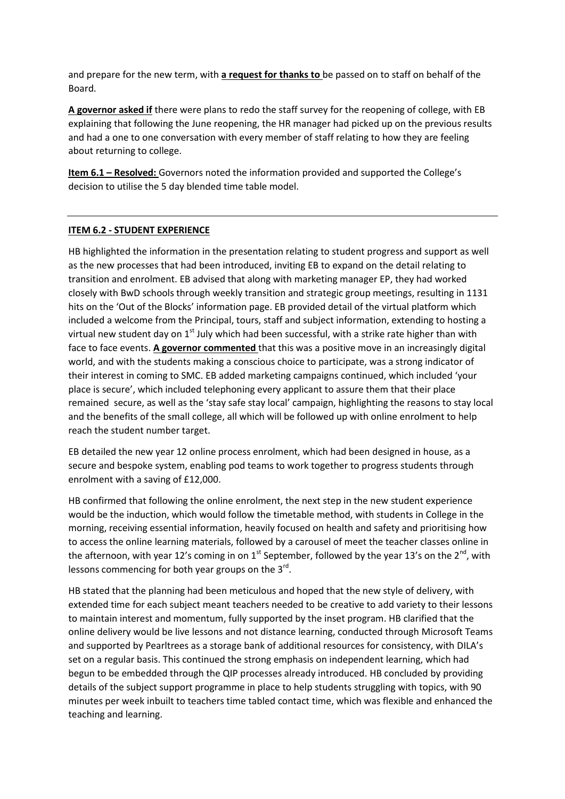and prepare for the new term, with **a request for thanks to** be passed on to staff on behalf of the Board.

**A governor asked if** there were plans to redo the staff survey for the reopening of college, with EB explaining that following the June reopening, the HR manager had picked up on the previous results and had a one to one conversation with every member of staff relating to how they are feeling about returning to college.

**Item 6.1 – Resolved:** Governors noted the information provided and supported the College's decision to utilise the 5 day blended time table model.

#### **ITEM 6.2 - STUDENT EXPERIENCE**

HB highlighted the information in the presentation relating to student progress and support as well as the new processes that had been introduced, inviting EB to expand on the detail relating to transition and enrolment. EB advised that along with marketing manager EP, they had worked closely with BwD schools through weekly transition and strategic group meetings, resulting in 1131 hits on the 'Out of the Blocks' information page. EB provided detail of the virtual platform which included a welcome from the Principal, tours, staff and subject information, extending to hosting a virtual new student day on  $1<sup>st</sup>$  July which had been successful, with a strike rate higher than with face to face events. **A governor commented** that this was a positive move in an increasingly digital world, and with the students making a conscious choice to participate, was a strong indicator of their interest in coming to SMC. EB added marketing campaigns continued, which included 'your place is secure', which included telephoning every applicant to assure them that their place remained secure, as well as the 'stay safe stay local' campaign, highlighting the reasons to stay local and the benefits of the small college, all which will be followed up with online enrolment to help reach the student number target.

EB detailed the new year 12 online process enrolment, which had been designed in house, as a secure and bespoke system, enabling pod teams to work together to progress students through enrolment with a saving of £12,000.

HB confirmed that following the online enrolment, the next step in the new student experience would be the induction, which would follow the timetable method, with students in College in the morning, receiving essential information, heavily focused on health and safety and prioritising how to access the online learning materials, followed by a carousel of meet the teacher classes online in the afternoon, with year 12's coming in on 1<sup>st</sup> September, followed by the year 13's on the 2<sup>nd</sup>, with lessons commencing for both year groups on the 3<sup>rd</sup>.

HB stated that the planning had been meticulous and hoped that the new style of delivery, with extended time for each subject meant teachers needed to be creative to add variety to their lessons to maintain interest and momentum, fully supported by the inset program. HB clarified that the online delivery would be live lessons and not distance learning, conducted through Microsoft Teams and supported by Pearltrees as a storage bank of additional resources for consistency, with DILA's set on a regular basis. This continued the strong emphasis on independent learning, which had begun to be embedded through the QIP processes already introduced. HB concluded by providing details of the subject support programme in place to help students struggling with topics, with 90 minutes per week inbuilt to teachers time tabled contact time, which was flexible and enhanced the teaching and learning.